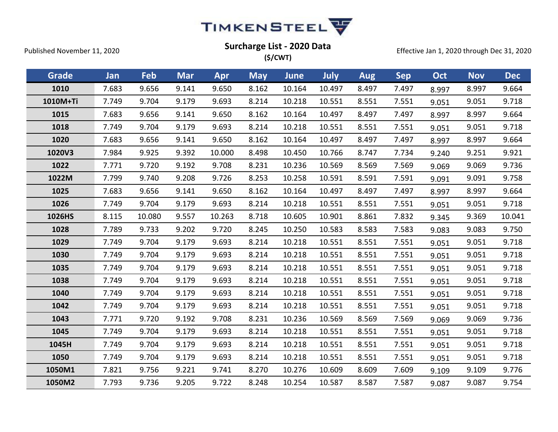

| Grade    | Jan   | Feb    | <b>Mar</b> | Apr    | <b>May</b> | <b>June</b> | July   | <b>Aug</b> | <b>Sep</b> | Oct   | <b>Nov</b> | <b>Dec</b> |
|----------|-------|--------|------------|--------|------------|-------------|--------|------------|------------|-------|------------|------------|
| 1010     | 7.683 | 9.656  | 9.141      | 9.650  | 8.162      | 10.164      | 10.497 | 8.497      | 7.497      | 8.997 | 8.997      | 9.664      |
| 1010M+Ti | 7.749 | 9.704  | 9.179      | 9.693  | 8.214      | 10.218      | 10.551 | 8.551      | 7.551      | 9.051 | 9.051      | 9.718      |
| 1015     | 7.683 | 9.656  | 9.141      | 9.650  | 8.162      | 10.164      | 10.497 | 8.497      | 7.497      | 8.997 | 8.997      | 9.664      |
| 1018     | 7.749 | 9.704  | 9.179      | 9.693  | 8.214      | 10.218      | 10.551 | 8.551      | 7.551      | 9.051 | 9.051      | 9.718      |
| 1020     | 7.683 | 9.656  | 9.141      | 9.650  | 8.162      | 10.164      | 10.497 | 8.497      | 7.497      | 8.997 | 8.997      | 9.664      |
| 1020V3   | 7.984 | 9.925  | 9.392      | 10.000 | 8.498      | 10.450      | 10.766 | 8.747      | 7.734      | 9.240 | 9.251      | 9.921      |
| 1022     | 7.771 | 9.720  | 9.192      | 9.708  | 8.231      | 10.236      | 10.569 | 8.569      | 7.569      | 9.069 | 9.069      | 9.736      |
| 1022M    | 7.799 | 9.740  | 9.208      | 9.726  | 8.253      | 10.258      | 10.591 | 8.591      | 7.591      | 9.091 | 9.091      | 9.758      |
| 1025     | 7.683 | 9.656  | 9.141      | 9.650  | 8.162      | 10.164      | 10.497 | 8.497      | 7.497      | 8.997 | 8.997      | 9.664      |
| 1026     | 7.749 | 9.704  | 9.179      | 9.693  | 8.214      | 10.218      | 10.551 | 8.551      | 7.551      | 9.051 | 9.051      | 9.718      |
| 1026HS   | 8.115 | 10.080 | 9.557      | 10.263 | 8.718      | 10.605      | 10.901 | 8.861      | 7.832      | 9.345 | 9.369      | 10.041     |
| 1028     | 7.789 | 9.733  | 9.202      | 9.720  | 8.245      | 10.250      | 10.583 | 8.583      | 7.583      | 9.083 | 9.083      | 9.750      |
| 1029     | 7.749 | 9.704  | 9.179      | 9.693  | 8.214      | 10.218      | 10.551 | 8.551      | 7.551      | 9.051 | 9.051      | 9.718      |
| 1030     | 7.749 | 9.704  | 9.179      | 9.693  | 8.214      | 10.218      | 10.551 | 8.551      | 7.551      | 9.051 | 9.051      | 9.718      |
| 1035     | 7.749 | 9.704  | 9.179      | 9.693  | 8.214      | 10.218      | 10.551 | 8.551      | 7.551      | 9.051 | 9.051      | 9.718      |
| 1038     | 7.749 | 9.704  | 9.179      | 9.693  | 8.214      | 10.218      | 10.551 | 8.551      | 7.551      | 9.051 | 9.051      | 9.718      |
| 1040     | 7.749 | 9.704  | 9.179      | 9.693  | 8.214      | 10.218      | 10.551 | 8.551      | 7.551      | 9.051 | 9.051      | 9.718      |
| 1042     | 7.749 | 9.704  | 9.179      | 9.693  | 8.214      | 10.218      | 10.551 | 8.551      | 7.551      | 9.051 | 9.051      | 9.718      |
| 1043     | 7.771 | 9.720  | 9.192      | 9.708  | 8.231      | 10.236      | 10.569 | 8.569      | 7.569      | 9.069 | 9.069      | 9.736      |
| 1045     | 7.749 | 9.704  | 9.179      | 9.693  | 8.214      | 10.218      | 10.551 | 8.551      | 7.551      | 9.051 | 9.051      | 9.718      |
| 1045H    | 7.749 | 9.704  | 9.179      | 9.693  | 8.214      | 10.218      | 10.551 | 8.551      | 7.551      | 9.051 | 9.051      | 9.718      |
| 1050     | 7.749 | 9.704  | 9.179      | 9.693  | 8.214      | 10.218      | 10.551 | 8.551      | 7.551      | 9.051 | 9.051      | 9.718      |
| 1050M1   | 7.821 | 9.756  | 9.221      | 9.741  | 8.270      | 10.276      | 10.609 | 8.609      | 7.609      | 9.109 | 9.109      | 9.776      |
| 1050M2   | 7.793 | 9.736  | 9.205      | 9.722  | 8.248      | 10.254      | 10.587 | 8.587      | 7.587      | 9.087 | 9.087      | 9.754      |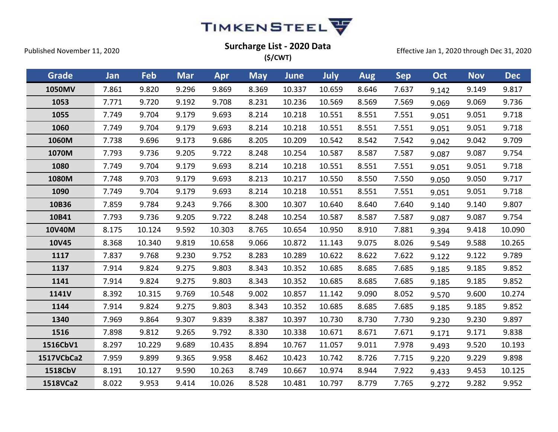

| Grade      | Jan   | Feb    | <b>Mar</b> | Apr    | <b>May</b> | <b>June</b> | <b>July</b> | <b>Aug</b> | <b>Sep</b> | Oct   | <b>Nov</b> | <b>Dec</b> |
|------------|-------|--------|------------|--------|------------|-------------|-------------|------------|------------|-------|------------|------------|
| 1050MV     | 7.861 | 9.820  | 9.296      | 9.869  | 8.369      | 10.337      | 10.659      | 8.646      | 7.637      | 9.142 | 9.149      | 9.817      |
| 1053       | 7.771 | 9.720  | 9.192      | 9.708  | 8.231      | 10.236      | 10.569      | 8.569      | 7.569      | 9.069 | 9.069      | 9.736      |
| 1055       | 7.749 | 9.704  | 9.179      | 9.693  | 8.214      | 10.218      | 10.551      | 8.551      | 7.551      | 9.051 | 9.051      | 9.718      |
| 1060       | 7.749 | 9.704  | 9.179      | 9.693  | 8.214      | 10.218      | 10.551      | 8.551      | 7.551      | 9.051 | 9.051      | 9.718      |
| 1060M      | 7.738 | 9.696  | 9.173      | 9.686  | 8.205      | 10.209      | 10.542      | 8.542      | 7.542      | 9.042 | 9.042      | 9.709      |
| 1070M      | 7.793 | 9.736  | 9.205      | 9.722  | 8.248      | 10.254      | 10.587      | 8.587      | 7.587      | 9.087 | 9.087      | 9.754      |
| 1080       | 7.749 | 9.704  | 9.179      | 9.693  | 8.214      | 10.218      | 10.551      | 8.551      | 7.551      | 9.051 | 9.051      | 9.718      |
| 1080M      | 7.748 | 9.703  | 9.179      | 9.693  | 8.213      | 10.217      | 10.550      | 8.550      | 7.550      | 9.050 | 9.050      | 9.717      |
| 1090       | 7.749 | 9.704  | 9.179      | 9.693  | 8.214      | 10.218      | 10.551      | 8.551      | 7.551      | 9.051 | 9.051      | 9.718      |
| 10B36      | 7.859 | 9.784  | 9.243      | 9.766  | 8.300      | 10.307      | 10.640      | 8.640      | 7.640      | 9.140 | 9.140      | 9.807      |
| 10B41      | 7.793 | 9.736  | 9.205      | 9.722  | 8.248      | 10.254      | 10.587      | 8.587      | 7.587      | 9.087 | 9.087      | 9.754      |
| 10V40M     | 8.175 | 10.124 | 9.592      | 10.303 | 8.765      | 10.654      | 10.950      | 8.910      | 7.881      | 9.394 | 9.418      | 10.090     |
| 10V45      | 8.368 | 10.340 | 9.819      | 10.658 | 9.066      | 10.872      | 11.143      | 9.075      | 8.026      | 9.549 | 9.588      | 10.265     |
| 1117       | 7.837 | 9.768  | 9.230      | 9.752  | 8.283      | 10.289      | 10.622      | 8.622      | 7.622      | 9.122 | 9.122      | 9.789      |
| 1137       | 7.914 | 9.824  | 9.275      | 9.803  | 8.343      | 10.352      | 10.685      | 8.685      | 7.685      | 9.185 | 9.185      | 9.852      |
| 1141       | 7.914 | 9.824  | 9.275      | 9.803  | 8.343      | 10.352      | 10.685      | 8.685      | 7.685      | 9.185 | 9.185      | 9.852      |
| 1141V      | 8.392 | 10.315 | 9.769      | 10.548 | 9.002      | 10.857      | 11.142      | 9.090      | 8.052      | 9.570 | 9.600      | 10.274     |
| 1144       | 7.914 | 9.824  | 9.275      | 9.803  | 8.343      | 10.352      | 10.685      | 8.685      | 7.685      | 9.185 | 9.185      | 9.852      |
| 1340       | 7.969 | 9.864  | 9.307      | 9.839  | 8.387      | 10.397      | 10.730      | 8.730      | 7.730      | 9.230 | 9.230      | 9.897      |
| 1516       | 7.898 | 9.812  | 9.265      | 9.792  | 8.330      | 10.338      | 10.671      | 8.671      | 7.671      | 9.171 | 9.171      | 9.838      |
| 1516CbV1   | 8.297 | 10.229 | 9.689      | 10.435 | 8.894      | 10.767      | 11.057      | 9.011      | 7.978      | 9.493 | 9.520      | 10.193     |
| 1517VCbCa2 | 7.959 | 9.899  | 9.365      | 9.958  | 8.462      | 10.423      | 10.742      | 8.726      | 7.715      | 9.220 | 9.229      | 9.898      |
| 1518CbV    | 8.191 | 10.127 | 9.590      | 10.263 | 8.749      | 10.667      | 10.974      | 8.944      | 7.922      | 9.433 | 9.453      | 10.125     |
| 1518VCa2   | 8.022 | 9.953  | 9.414      | 10.026 | 8.528      | 10.481      | 10.797      | 8.779      | 7.765      | 9.272 | 9.282      | 9.952      |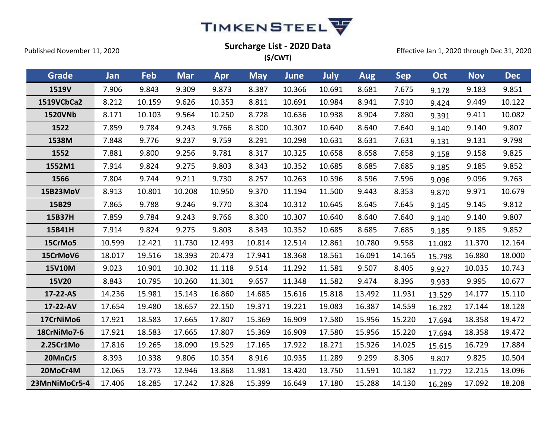

| Grade          | Jan    | Feb    | <b>Mar</b> | Apr    | <b>May</b> | <b>June</b> | July   | Aug    | <b>Sep</b> | Oct    | <b>Nov</b> | <b>Dec</b> |
|----------------|--------|--------|------------|--------|------------|-------------|--------|--------|------------|--------|------------|------------|
| 1519V          | 7.906  | 9.843  | 9.309      | 9.873  | 8.387      | 10.366      | 10.691 | 8.681  | 7.675      | 9.178  | 9.183      | 9.851      |
| 1519VCbCa2     | 8.212  | 10.159 | 9.626      | 10.353 | 8.811      | 10.691      | 10.984 | 8.941  | 7.910      | 9.424  | 9.449      | 10.122     |
| <b>1520VNb</b> | 8.171  | 10.103 | 9.564      | 10.250 | 8.728      | 10.636      | 10.938 | 8.904  | 7.880      | 9.391  | 9.411      | 10.082     |
| 1522           | 7.859  | 9.784  | 9.243      | 9.766  | 8.300      | 10.307      | 10.640 | 8.640  | 7.640      | 9.140  | 9.140      | 9.807      |
| 1538M          | 7.848  | 9.776  | 9.237      | 9.759  | 8.291      | 10.298      | 10.631 | 8.631  | 7.631      | 9.131  | 9.131      | 9.798      |
| 1552           | 7.881  | 9.800  | 9.256      | 9.781  | 8.317      | 10.325      | 10.658 | 8.658  | 7.658      | 9.158  | 9.158      | 9.825      |
| 1552M1         | 7.914  | 9.824  | 9.275      | 9.803  | 8.343      | 10.352      | 10.685 | 8.685  | 7.685      | 9.185  | 9.185      | 9.852      |
| 1566           | 7.804  | 9.744  | 9.211      | 9.730  | 8.257      | 10.263      | 10.596 | 8.596  | 7.596      | 9.096  | 9.096      | 9.763      |
| 15B23MoV       | 8.913  | 10.801 | 10.208     | 10.950 | 9.370      | 11.194      | 11.500 | 9.443  | 8.353      | 9.870  | 9.971      | 10.679     |
| 15B29          | 7.865  | 9.788  | 9.246      | 9.770  | 8.304      | 10.312      | 10.645 | 8.645  | 7.645      | 9.145  | 9.145      | 9.812      |
| 15B37H         | 7.859  | 9.784  | 9.243      | 9.766  | 8.300      | 10.307      | 10.640 | 8.640  | 7.640      | 9.140  | 9.140      | 9.807      |
| 15B41H         | 7.914  | 9.824  | 9.275      | 9.803  | 8.343      | 10.352      | 10.685 | 8.685  | 7.685      | 9.185  | 9.185      | 9.852      |
| 15CrMo5        | 10.599 | 12.421 | 11.730     | 12.493 | 10.814     | 12.514      | 12.861 | 10.780 | 9.558      | 11.082 | 11.370     | 12.164     |
| 15CrMoV6       | 18.017 | 19.516 | 18.393     | 20.473 | 17.941     | 18.368      | 18.561 | 16.091 | 14.165     | 15.798 | 16.880     | 18.000     |
| 15V10M         | 9.023  | 10.901 | 10.302     | 11.118 | 9.514      | 11.292      | 11.581 | 9.507  | 8.405      | 9.927  | 10.035     | 10.743     |
| <b>15V20</b>   | 8.843  | 10.795 | 10.260     | 11.301 | 9.657      | 11.348      | 11.582 | 9.474  | 8.396      | 9.933  | 9.995      | 10.677     |
| 17-22-AS       | 14.236 | 15.981 | 15.143     | 16.860 | 14.685     | 15.616      | 15.818 | 13.492 | 11.931     | 13.529 | 14.177     | 15.110     |
| 17-22-AV       | 17.654 | 19.480 | 18.657     | 22.150 | 19.371     | 19.221      | 19.083 | 16.387 | 14.559     | 16.282 | 17.144     | 18.128     |
| 17CrNiMo6      | 17.921 | 18.583 | 17.665     | 17.807 | 15.369     | 16.909      | 17.580 | 15.956 | 15.220     | 17.694 | 18.358     | 19.472     |
| 18CrNiMo7-6    | 17.921 | 18.583 | 17.665     | 17.807 | 15.369     | 16.909      | 17.580 | 15.956 | 15.220     | 17.694 | 18.358     | 19.472     |
| 2.25Cr1Mo      | 17.816 | 19.265 | 18.090     | 19.529 | 17.165     | 17.922      | 18.271 | 15.926 | 14.025     | 15.615 | 16.729     | 17.884     |
| 20MnCr5        | 8.393  | 10.338 | 9.806      | 10.354 | 8.916      | 10.935      | 11.289 | 9.299  | 8.306      | 9.807  | 9.825      | 10.504     |
| 20MoCr4M       | 12.065 | 13.773 | 12.946     | 13.868 | 11.981     | 13.420      | 13.750 | 11.591 | 10.182     | 11.722 | 12.215     | 13.096     |
| 23MnNiMoCr5-4  | 17.406 | 18.285 | 17.242     | 17.828 | 15.399     | 16.649      | 17.180 | 15.288 | 14.130     | 16.289 | 17.092     | 18.208     |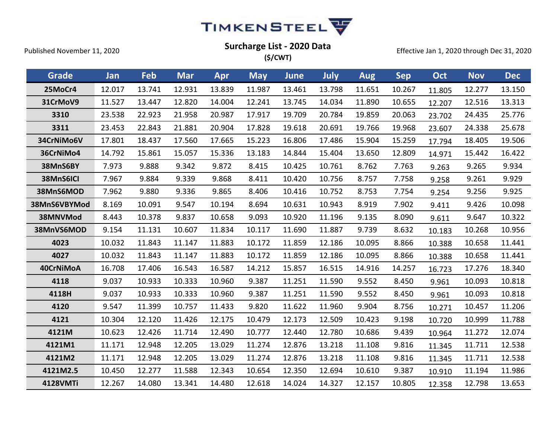

| (S/CWT) |  |
|---------|--|
|---------|--|

| <b>Grade</b>    | Jan    | Feb    | <b>Mar</b> | Apr    | <b>May</b> | <b>June</b> | July   | <b>Aug</b> | <b>Sep</b> | Oct    | <b>Nov</b> | <b>Dec</b> |
|-----------------|--------|--------|------------|--------|------------|-------------|--------|------------|------------|--------|------------|------------|
| 25MoCr4         | 12.017 | 13.741 | 12.931     | 13.839 | 11.987     | 13.461      | 13.798 | 11.651     | 10.267     | 11.805 | 12.277     | 13.150     |
| 31CrMoV9        | 11.527 | 13.447 | 12.820     | 14.004 | 12.241     | 13.745      | 14.034 | 11.890     | 10.655     | 12.207 | 12.516     | 13.313     |
| 3310            | 23.538 | 22.923 | 21.958     | 20.987 | 17.917     | 19.709      | 20.784 | 19.859     | 20.063     | 23.702 | 24.435     | 25.776     |
| 3311            | 23.453 | 22.843 | 21.881     | 20.904 | 17.828     | 19.618      | 20.691 | 19.766     | 19.968     | 23.607 | 24.338     | 25.678     |
| 34CrNiMo6V      | 17.801 | 18.437 | 17.560     | 17.665 | 15.223     | 16.806      | 17.486 | 15.904     | 15.259     | 17.794 | 18.405     | 19.506     |
| 36CrNiMo4       | 14.792 | 15.861 | 15.057     | 15.336 | 13.183     | 14.844      | 15.404 | 13.650     | 12.809     | 14.971 | 15.442     | 16.422     |
| 38MnS6BY        | 7.973  | 9.888  | 9.342      | 9.872  | 8.415      | 10.425      | 10.761 | 8.762      | 7.763      | 9.263  | 9.265      | 9.934      |
| 38MnS6ICI       | 7.967  | 9.884  | 9.339      | 9.868  | 8.411      | 10.420      | 10.756 | 8.757      | 7.758      | 9.258  | 9.261      | 9.929      |
| 38MnS6MOD       | 7.962  | 9.880  | 9.336      | 9.865  | 8.406      | 10.416      | 10.752 | 8.753      | 7.754      | 9.254  | 9.256      | 9.925      |
| 38MnS6VBYMod    | 8.169  | 10.091 | 9.547      | 10.194 | 8.694      | 10.631      | 10.943 | 8.919      | 7.902      | 9.411  | 9.426      | 10.098     |
| 38MNVMod        | 8.443  | 10.378 | 9.837      | 10.658 | 9.093      | 10.920      | 11.196 | 9.135      | 8.090      | 9.611  | 9.647      | 10.322     |
| 38MnVS6MOD      | 9.154  | 11.131 | 10.607     | 11.834 | 10.117     | 11.690      | 11.887 | 9.739      | 8.632      | 10.183 | 10.268     | 10.956     |
| 4023            | 10.032 | 11.843 | 11.147     | 11.883 | 10.172     | 11.859      | 12.186 | 10.095     | 8.866      | 10.388 | 10.658     | 11.441     |
| 4027            | 10.032 | 11.843 | 11.147     | 11.883 | 10.172     | 11.859      | 12.186 | 10.095     | 8.866      | 10.388 | 10.658     | 11.441     |
| 40CrNiMoA       | 16.708 | 17.406 | 16.543     | 16.587 | 14.212     | 15.857      | 16.515 | 14.916     | 14.257     | 16.723 | 17.276     | 18.340     |
| 4118            | 9.037  | 10.933 | 10.333     | 10.960 | 9.387      | 11.251      | 11.590 | 9.552      | 8.450      | 9.961  | 10.093     | 10.818     |
| 4118H           | 9.037  | 10.933 | 10.333     | 10.960 | 9.387      | 11.251      | 11.590 | 9.552      | 8.450      | 9.961  | 10.093     | 10.818     |
| 4120            | 9.547  | 11.399 | 10.757     | 11.433 | 9.820      | 11.622      | 11.960 | 9.904      | 8.756      | 10.271 | 10.457     | 11.206     |
| 4121            | 10.304 | 12.120 | 11.426     | 12.175 | 10.479     | 12.173      | 12.509 | 10.423     | 9.198      | 10.720 | 10.999     | 11.788     |
| 4121M           | 10.623 | 12.426 | 11.714     | 12.490 | 10.777     | 12.440      | 12.780 | 10.686     | 9.439      | 10.964 | 11.272     | 12.074     |
| 4121M1          | 11.171 | 12.948 | 12.205     | 13.029 | 11.274     | 12.876      | 13.218 | 11.108     | 9.816      | 11.345 | 11.711     | 12.538     |
| 4121M2          | 11.171 | 12.948 | 12.205     | 13.029 | 11.274     | 12.876      | 13.218 | 11.108     | 9.816      | 11.345 | 11.711     | 12.538     |
| 4121M2.5        | 10.450 | 12.277 | 11.588     | 12.343 | 10.654     | 12.350      | 12.694 | 10.610     | 9.387      | 10.910 | 11.194     | 11.986     |
| <b>4128VMTi</b> | 12.267 | 14.080 | 13.341     | 14.480 | 12.618     | 14.024      | 14.327 | 12.157     | 10.805     | 12.358 | 12.798     | 13.653     |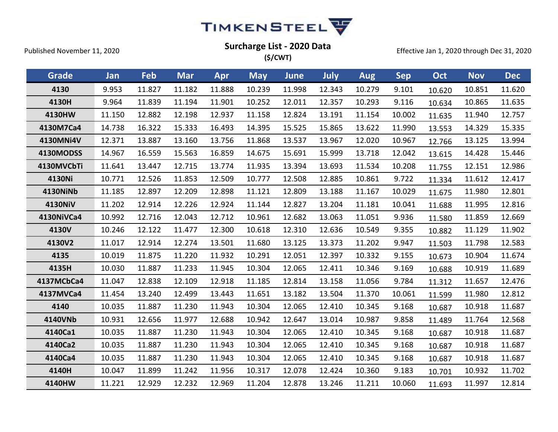

| Grade           | <b>Jan</b> | Feb    | <b>Mar</b> | Apr    | <b>May</b> | June   | July   | <b>Aug</b> | <b>Sep</b> | Oct    | <b>Nov</b> | <b>Dec</b> |
|-----------------|------------|--------|------------|--------|------------|--------|--------|------------|------------|--------|------------|------------|
| 4130            | 9.953      | 11.827 | 11.182     | 11.888 | 10.239     | 11.998 | 12.343 | 10.279     | 9.101      | 10.620 | 10.851     | 11.620     |
| 4130H           | 9.964      | 11.839 | 11.194     | 11.901 | 10.252     | 12.011 | 12.357 | 10.293     | 9.116      | 10.634 | 10.865     | 11.635     |
| 4130HW          | 11.150     | 12.882 | 12.198     | 12.937 | 11.158     | 12.824 | 13.191 | 11.154     | 10.002     | 11.635 | 11.940     | 12.757     |
| 4130M7Ca4       | 14.738     | 16.322 | 15.333     | 16.493 | 14.395     | 15.525 | 15.865 | 13.622     | 11.990     | 13.553 | 14.329     | 15.335     |
| 4130MNi4V       | 12.371     | 13.887 | 13.160     | 13.756 | 11.868     | 13.537 | 13.967 | 12.020     | 10.967     | 12.766 | 13.125     | 13.994     |
| 4130MODSS       | 14.967     | 16.559 | 15.563     | 16.859 | 14.675     | 15.691 | 15.999 | 13.718     | 12.042     | 13.615 | 14.428     | 15.446     |
| 4130MVCbTi      | 11.641     | 13.447 | 12.715     | 13.774 | 11.935     | 13.394 | 13.693 | 11.534     | 10.208     | 11.755 | 12.151     | 12.986     |
| 4130Ni          | 10.771     | 12.526 | 11.853     | 12.509 | 10.777     | 12.508 | 12.885 | 10.861     | 9.722      | 11.334 | 11.612     | 12.417     |
| <b>4130NiNb</b> | 11.185     | 12.897 | 12.209     | 12.898 | 11.121     | 12.809 | 13.188 | 11.167     | 10.029     | 11.675 | 11.980     | 12.801     |
| 4130NiV         | 11.202     | 12.914 | 12.226     | 12.924 | 11.144     | 12.827 | 13.204 | 11.181     | 10.041     | 11.688 | 11.995     | 12.816     |
| 4130NiVCa4      | 10.992     | 12.716 | 12.043     | 12.712 | 10.961     | 12.682 | 13.063 | 11.051     | 9.936      | 11.580 | 11.859     | 12.669     |
| 4130V           | 10.246     | 12.122 | 11.477     | 12.300 | 10.618     | 12.310 | 12.636 | 10.549     | 9.355      | 10.882 | 11.129     | 11.902     |
| 4130V2          | 11.017     | 12.914 | 12.274     | 13.501 | 11.680     | 13.125 | 13.373 | 11.202     | 9.947      | 11.503 | 11.798     | 12.583     |
| 4135            | 10.019     | 11.875 | 11.220     | 11.932 | 10.291     | 12.051 | 12.397 | 10.332     | 9.155      | 10.673 | 10.904     | 11.674     |
| 4135H           | 10.030     | 11.887 | 11.233     | 11.945 | 10.304     | 12.065 | 12.411 | 10.346     | 9.169      | 10.688 | 10.919     | 11.689     |
| 4137MCbCa4      | 11.047     | 12.838 | 12.109     | 12.918 | 11.185     | 12.814 | 13.158 | 11.056     | 9.784      | 11.312 | 11.657     | 12.476     |
| 4137MVCa4       | 11.454     | 13.240 | 12.499     | 13.443 | 11.651     | 13.182 | 13.504 | 11.370     | 10.061     | 11.599 | 11.980     | 12.812     |
| 4140            | 10.035     | 11.887 | 11.230     | 11.943 | 10.304     | 12.065 | 12.410 | 10.345     | 9.168      | 10.687 | 10.918     | 11.687     |
| 4140VNb         | 10.931     | 12.656 | 11.977     | 12.688 | 10.942     | 12.647 | 13.014 | 10.987     | 9.858      | 11.489 | 11.764     | 12.568     |
| 4140Ca1         | 10.035     | 11.887 | 11.230     | 11.943 | 10.304     | 12.065 | 12.410 | 10.345     | 9.168      | 10.687 | 10.918     | 11.687     |
| 4140Ca2         | 10.035     | 11.887 | 11.230     | 11.943 | 10.304     | 12.065 | 12.410 | 10.345     | 9.168      | 10.687 | 10.918     | 11.687     |
| 4140Ca4         | 10.035     | 11.887 | 11.230     | 11.943 | 10.304     | 12.065 | 12.410 | 10.345     | 9.168      | 10.687 | 10.918     | 11.687     |
| 4140H           | 10.047     | 11.899 | 11.242     | 11.956 | 10.317     | 12.078 | 12.424 | 10.360     | 9.183      | 10.701 | 10.932     | 11.702     |
| 4140HW          | 11.221     | 12.929 | 12.232     | 12.969 | 11.204     | 12.878 | 13.246 | 11.211     | 10.060     | 11.693 | 11.997     | 12.814     |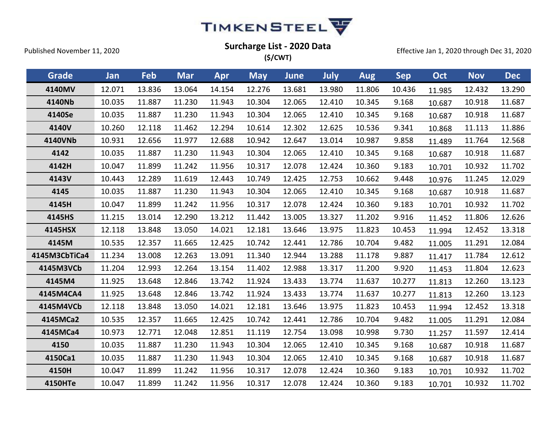

| Grade          | Jan    | Feb    | <b>Mar</b> | Apr    | <b>May</b> | <b>June</b> | July   | <b>Aug</b> | <b>Sep</b> | Oct    | <b>Nov</b> | <b>Dec</b> |
|----------------|--------|--------|------------|--------|------------|-------------|--------|------------|------------|--------|------------|------------|
| 4140MV         | 12.071 | 13.836 | 13.064     | 14.154 | 12.276     | 13.681      | 13.980 | 11.806     | 10.436     | 11.985 | 12.432     | 13.290     |
| 4140Nb         | 10.035 | 11.887 | 11.230     | 11.943 | 10.304     | 12.065      | 12.410 | 10.345     | 9.168      | 10.687 | 10.918     | 11.687     |
| 4140Se         | 10.035 | 11.887 | 11.230     | 11.943 | 10.304     | 12.065      | 12.410 | 10.345     | 9.168      | 10.687 | 10.918     | 11.687     |
| 4140V          | 10.260 | 12.118 | 11.462     | 12.294 | 10.614     | 12.302      | 12.625 | 10.536     | 9.341      | 10.868 | 11.113     | 11.886     |
| 4140VNb        | 10.931 | 12.656 | 11.977     | 12.688 | 10.942     | 12.647      | 13.014 | 10.987     | 9.858      | 11.489 | 11.764     | 12.568     |
| 4142           | 10.035 | 11.887 | 11.230     | 11.943 | 10.304     | 12.065      | 12.410 | 10.345     | 9.168      | 10.687 | 10.918     | 11.687     |
| 4142H          | 10.047 | 11.899 | 11.242     | 11.956 | 10.317     | 12.078      | 12.424 | 10.360     | 9.183      | 10.701 | 10.932     | 11.702     |
| 4143V          | 10.443 | 12.289 | 11.619     | 12.443 | 10.749     | 12.425      | 12.753 | 10.662     | 9.448      | 10.976 | 11.245     | 12.029     |
| 4145           | 10.035 | 11.887 | 11.230     | 11.943 | 10.304     | 12.065      | 12.410 | 10.345     | 9.168      | 10.687 | 10.918     | 11.687     |
| 4145H          | 10.047 | 11.899 | 11.242     | 11.956 | 10.317     | 12.078      | 12.424 | 10.360     | 9.183      | 10.701 | 10.932     | 11.702     |
| 4145HS         | 11.215 | 13.014 | 12.290     | 13.212 | 11.442     | 13.005      | 13.327 | 11.202     | 9.916      | 11.452 | 11.806     | 12.626     |
| 4145HSX        | 12.118 | 13.848 | 13.050     | 14.021 | 12.181     | 13.646      | 13.975 | 11.823     | 10.453     | 11.994 | 12.452     | 13.318     |
| 4145M          | 10.535 | 12.357 | 11.665     | 12.425 | 10.742     | 12.441      | 12.786 | 10.704     | 9.482      | 11.005 | 11.291     | 12.084     |
| 4145M3CbTiCa4  | 11.234 | 13.008 | 12.263     | 13.091 | 11.340     | 12.944      | 13.288 | 11.178     | 9.887      | 11.417 | 11.784     | 12.612     |
| 4145M3VCb      | 11.204 | 12.993 | 12.264     | 13.154 | 11.402     | 12.988      | 13.317 | 11.200     | 9.920      | 11.453 | 11.804     | 12.623     |
| 4145M4         | 11.925 | 13.648 | 12.846     | 13.742 | 11.924     | 13.433      | 13.774 | 11.637     | 10.277     | 11.813 | 12.260     | 13.123     |
| 4145M4CA4      | 11.925 | 13.648 | 12.846     | 13.742 | 11.924     | 13.433      | 13.774 | 11.637     | 10.277     | 11.813 | 12.260     | 13.123     |
| 4145M4VCb      | 12.118 | 13.848 | 13.050     | 14.021 | 12.181     | 13.646      | 13.975 | 11.823     | 10.453     | 11.994 | 12.452     | 13.318     |
| 4145MCa2       | 10.535 | 12.357 | 11.665     | 12.425 | 10.742     | 12.441      | 12.786 | 10.704     | 9.482      | 11.005 | 11.291     | 12.084     |
| 4145MCa4       | 10.973 | 12.771 | 12.048     | 12.851 | 11.119     | 12.754      | 13.098 | 10.998     | 9.730      | 11.257 | 11.597     | 12.414     |
| 4150           | 10.035 | 11.887 | 11.230     | 11.943 | 10.304     | 12.065      | 12.410 | 10.345     | 9.168      | 10.687 | 10.918     | 11.687     |
| 4150Ca1        | 10.035 | 11.887 | 11.230     | 11.943 | 10.304     | 12.065      | 12.410 | 10.345     | 9.168      | 10.687 | 10.918     | 11.687     |
| 4150H          | 10.047 | 11.899 | 11.242     | 11.956 | 10.317     | 12.078      | 12.424 | 10.360     | 9.183      | 10.701 | 10.932     | 11.702     |
| <b>4150HTe</b> | 10.047 | 11.899 | 11.242     | 11.956 | 10.317     | 12.078      | 12.424 | 10.360     | 9.183      | 10.701 | 10.932     | 11.702     |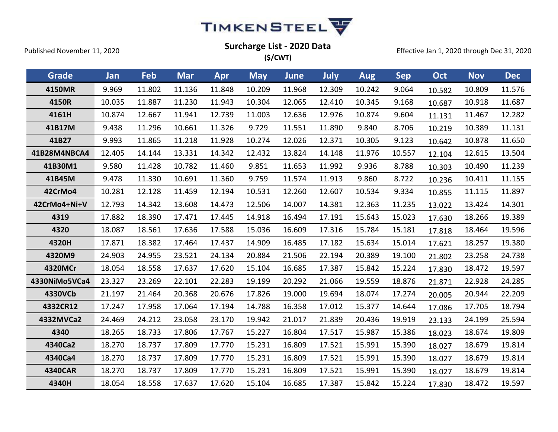

Effective Jan 1, 2020 through Dec 31, 2020

**(\$/CWT)**

| <b>Grade</b>   | Jan    | Feb    | <b>Mar</b> | Apr    | <b>May</b> | <b>June</b> | <b>July</b> | <b>Aug</b> | <b>Sep</b> | Oct    | <b>Nov</b> | <b>Dec</b> |
|----------------|--------|--------|------------|--------|------------|-------------|-------------|------------|------------|--------|------------|------------|
| 4150MR         | 9.969  | 11.802 | 11.136     | 11.848 | 10.209     | 11.968      | 12.309      | 10.242     | 9.064      | 10.582 | 10.809     | 11.576     |
| 4150R          | 10.035 | 11.887 | 11.230     | 11.943 | 10.304     | 12.065      | 12.410      | 10.345     | 9.168      | 10.687 | 10.918     | 11.687     |
| 4161H          | 10.874 | 12.667 | 11.941     | 12.739 | 11.003     | 12.636      | 12.976      | 10.874     | 9.604      | 11.131 | 11.467     | 12.282     |
| 41B17M         | 9.438  | 11.296 | 10.661     | 11.326 | 9.729      | 11.551      | 11.890      | 9.840      | 8.706      | 10.219 | 10.389     | 11.131     |
| 41B27          | 9.993  | 11.865 | 11.218     | 11.928 | 10.274     | 12.026      | 12.371      | 10.305     | 9.123      | 10.642 | 10.878     | 11.650     |
| 41B28M4NBCA4   | 12.405 | 14.144 | 13.331     | 14.342 | 12.432     | 13.824      | 14.148      | 11.976     | 10.557     | 12.104 | 12.615     | 13.504     |
| 41B30M1        | 9.580  | 11.428 | 10.782     | 11.460 | 9.851      | 11.653      | 11.992      | 9.936      | 8.788      | 10.303 | 10.490     | 11.239     |
| 41B45M         | 9.478  | 11.330 | 10.691     | 11.360 | 9.759      | 11.574      | 11.913      | 9.860      | 8.722      | 10.236 | 10.411     | 11.155     |
| 42CrMo4        | 10.281 | 12.128 | 11.459     | 12.194 | 10.531     | 12.260      | 12.607      | 10.534     | 9.334      | 10.855 | 11.115     | 11.897     |
| 42CrMo4+Ni+V   | 12.793 | 14.342 | 13.608     | 14.473 | 12.506     | 14.007      | 14.381      | 12.363     | 11.235     | 13.022 | 13.424     | 14.301     |
| 4319           | 17.882 | 18.390 | 17.471     | 17.445 | 14.918     | 16.494      | 17.191      | 15.643     | 15.023     | 17.630 | 18.266     | 19.389     |
| 4320           | 18.087 | 18.561 | 17.636     | 17.588 | 15.036     | 16.609      | 17.316      | 15.784     | 15.181     | 17.818 | 18.464     | 19.596     |
| 4320H          | 17.871 | 18.382 | 17.464     | 17.437 | 14.909     | 16.485      | 17.182      | 15.634     | 15.014     | 17.621 | 18.257     | 19.380     |
| 4320M9         | 24.903 | 24.955 | 23.521     | 24.134 | 20.884     | 21.506      | 22.194      | 20.389     | 19.100     | 21.802 | 23.258     | 24.738     |
| 4320MCr        | 18.054 | 18.558 | 17.637     | 17.620 | 15.104     | 16.685      | 17.387      | 15.842     | 15.224     | 17.830 | 18.472     | 19.597     |
| 4330NiMo5VCa4  | 23.327 | 23.269 | 22.101     | 22.283 | 19.199     | 20.292      | 21.066      | 19.559     | 18.876     | 21.871 | 22.928     | 24.285     |
| 4330VCb        | 21.197 | 21.464 | 20.368     | 20.676 | 17.826     | 19.000      | 19.694      | 18.074     | 17.274     | 20.005 | 20.944     | 22.209     |
| 4332CR12       | 17.247 | 17.958 | 17.064     | 17.194 | 14.788     | 16.358      | 17.012      | 15.377     | 14.644     | 17.086 | 17.705     | 18.794     |
| 4332MVCa2      | 24.469 | 24.212 | 23.058     | 23.170 | 19.942     | 21.017      | 21.839      | 20.436     | 19.919     | 23.133 | 24.199     | 25.594     |
| 4340           | 18.265 | 18.733 | 17.806     | 17.767 | 15.227     | 16.804      | 17.517      | 15.987     | 15.386     | 18.023 | 18.674     | 19.809     |
| 4340Ca2        | 18.270 | 18.737 | 17.809     | 17.770 | 15.231     | 16.809      | 17.521      | 15.991     | 15.390     | 18.027 | 18.679     | 19.814     |
| 4340Ca4        | 18.270 | 18.737 | 17.809     | 17.770 | 15.231     | 16.809      | 17.521      | 15.991     | 15.390     | 18.027 | 18.679     | 19.814     |
| <b>4340CAR</b> | 18.270 | 18.737 | 17.809     | 17.770 | 15.231     | 16.809      | 17.521      | 15.991     | 15.390     | 18.027 | 18.679     | 19.814     |
| 4340H          | 18.054 | 18.558 | 17.637     | 17.620 | 15.104     | 16.685      | 17.387      | 15.842     | 15.224     | 17.830 | 18.472     | 19.597     |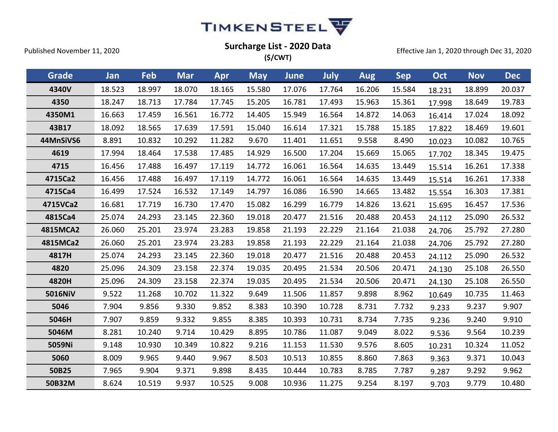

| Grade     | Jan    | Feb    | <b>Mar</b> | Apr    | <b>May</b> | <b>June</b> | July   | Aug    | <b>Sep</b> | Oct    | <b>Nov</b> | <b>Dec</b> |
|-----------|--------|--------|------------|--------|------------|-------------|--------|--------|------------|--------|------------|------------|
| 4340V     | 18.523 | 18.997 | 18.070     | 18.165 | 15.580     | 17.076      | 17.764 | 16.206 | 15.584     | 18.231 | 18.899     | 20.037     |
| 4350      | 18.247 | 18.713 | 17.784     | 17.745 | 15.205     | 16.781      | 17.493 | 15.963 | 15.361     | 17.998 | 18.649     | 19.783     |
| 4350M1    | 16.663 | 17.459 | 16.561     | 16.772 | 14.405     | 15.949      | 16.564 | 14.872 | 14.063     | 16.414 | 17.024     | 18.092     |
| 43B17     | 18.092 | 18.565 | 17.639     | 17.591 | 15.040     | 16.614      | 17.321 | 15.788 | 15.185     | 17.822 | 18.469     | 19.601     |
| 44MnSiVS6 | 8.891  | 10.832 | 10.292     | 11.282 | 9.670      | 11.401      | 11.651 | 9.558  | 8.490      | 10.023 | 10.082     | 10.765     |
| 4619      | 17.994 | 18.464 | 17.538     | 17.485 | 14.929     | 16.500      | 17.204 | 15.669 | 15.065     | 17.702 | 18.345     | 19.475     |
| 4715      | 16.456 | 17.488 | 16.497     | 17.119 | 14.772     | 16.061      | 16.564 | 14.635 | 13.449     | 15.514 | 16.261     | 17.338     |
| 4715Ca2   | 16.456 | 17.488 | 16.497     | 17.119 | 14.772     | 16.061      | 16.564 | 14.635 | 13.449     | 15.514 | 16.261     | 17.338     |
| 4715Ca4   | 16.499 | 17.524 | 16.532     | 17.149 | 14.797     | 16.086      | 16.590 | 14.665 | 13.482     | 15.554 | 16.303     | 17.381     |
| 4715VCa2  | 16.681 | 17.719 | 16.730     | 17.470 | 15.082     | 16.299      | 16.779 | 14.826 | 13.621     | 15.695 | 16.457     | 17.536     |
| 4815Ca4   | 25.074 | 24.293 | 23.145     | 22.360 | 19.018     | 20.477      | 21.516 | 20.488 | 20.453     | 24.112 | 25.090     | 26.532     |
| 4815MCA2  | 26.060 | 25.201 | 23.974     | 23.283 | 19.858     | 21.193      | 22.229 | 21.164 | 21.038     | 24.706 | 25.792     | 27.280     |
| 4815MCa2  | 26.060 | 25.201 | 23.974     | 23.283 | 19.858     | 21.193      | 22.229 | 21.164 | 21.038     | 24.706 | 25.792     | 27.280     |
| 4817H     | 25.074 | 24.293 | 23.145     | 22.360 | 19.018     | 20.477      | 21.516 | 20.488 | 20.453     | 24.112 | 25.090     | 26.532     |
| 4820      | 25.096 | 24.309 | 23.158     | 22.374 | 19.035     | 20.495      | 21.534 | 20.506 | 20.471     | 24.130 | 25.108     | 26.550     |
| 4820H     | 25.096 | 24.309 | 23.158     | 22.374 | 19.035     | 20.495      | 21.534 | 20.506 | 20.471     | 24.130 | 25.108     | 26.550     |
| 5016NiV   | 9.522  | 11.268 | 10.702     | 11.322 | 9.649      | 11.506      | 11.857 | 9.898  | 8.962      | 10.649 | 10.735     | 11.463     |
| 5046      | 7.904  | 9.856  | 9.330      | 9.852  | 8.383      | 10.390      | 10.728 | 8.731  | 7.732      | 9.233  | 9.237      | 9.907      |
| 5046H     | 7.907  | 9.859  | 9.332      | 9.855  | 8.385      | 10.393      | 10.731 | 8.734  | 7.735      | 9.236  | 9.240      | 9.910      |
| 5046M     | 8.281  | 10.240 | 9.714      | 10.429 | 8.895      | 10.786      | 11.087 | 9.049  | 8.022      | 9.536  | 9.564      | 10.239     |
| 5059Ni    | 9.148  | 10.930 | 10.349     | 10.822 | 9.216      | 11.153      | 11.530 | 9.576  | 8.605      | 10.231 | 10.324     | 11.052     |
| 5060      | 8.009  | 9.965  | 9.440      | 9.967  | 8.503      | 10.513      | 10.855 | 8.860  | 7.863      | 9.363  | 9.371      | 10.043     |
| 50B25     | 7.965  | 9.904  | 9.371      | 9.898  | 8.435      | 10.444      | 10.783 | 8.785  | 7.787      | 9.287  | 9.292      | 9.962      |
| 50B32M    | 8.624  | 10.519 | 9.937      | 10.525 | 9.008      | 10.936      | 11.275 | 9.254  | 8.197      | 9.703  | 9.779      | 10.480     |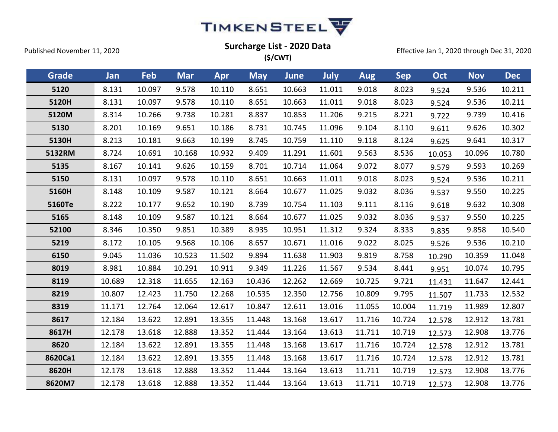

| <b>Grade</b> | Jan    | Feb    | <b>Mar</b> | <b>Apr</b> | <b>May</b> | <b>June</b> | July   | <b>Aug</b> | <b>Sep</b> | Oct    | <b>Nov</b> | <b>Dec</b> |
|--------------|--------|--------|------------|------------|------------|-------------|--------|------------|------------|--------|------------|------------|
| 5120         | 8.131  | 10.097 | 9.578      | 10.110     | 8.651      | 10.663      | 11.011 | 9.018      | 8.023      | 9.524  | 9.536      | 10.211     |
| 5120H        | 8.131  | 10.097 | 9.578      | 10.110     | 8.651      | 10.663      | 11.011 | 9.018      | 8.023      | 9.524  | 9.536      | 10.211     |
| 5120M        | 8.314  | 10.266 | 9.738      | 10.281     | 8.837      | 10.853      | 11.206 | 9.215      | 8.221      | 9.722  | 9.739      | 10.416     |
| 5130         | 8.201  | 10.169 | 9.651      | 10.186     | 8.731      | 10.745      | 11.096 | 9.104      | 8.110      | 9.611  | 9.626      | 10.302     |
| 5130H        | 8.213  | 10.181 | 9.663      | 10.199     | 8.745      | 10.759      | 11.110 | 9.118      | 8.124      | 9.625  | 9.641      | 10.317     |
| 5132RM       | 8.724  | 10.691 | 10.168     | 10.932     | 9.409      | 11.291      | 11.601 | 9.563      | 8.536      | 10.053 | 10.096     | 10.780     |
| 5135         | 8.167  | 10.141 | 9.626      | 10.159     | 8.701      | 10.714      | 11.064 | 9.072      | 8.077      | 9.579  | 9.593      | 10.269     |
| 5150         | 8.131  | 10.097 | 9.578      | 10.110     | 8.651      | 10.663      | 11.011 | 9.018      | 8.023      | 9.524  | 9.536      | 10.211     |
| 5160H        | 8.148  | 10.109 | 9.587      | 10.121     | 8.664      | 10.677      | 11.025 | 9.032      | 8.036      | 9.537  | 9.550      | 10.225     |
| 5160Te       | 8.222  | 10.177 | 9.652      | 10.190     | 8.739      | 10.754      | 11.103 | 9.111      | 8.116      | 9.618  | 9.632      | 10.308     |
| 5165         | 8.148  | 10.109 | 9.587      | 10.121     | 8.664      | 10.677      | 11.025 | 9.032      | 8.036      | 9.537  | 9.550      | 10.225     |
| 52100        | 8.346  | 10.350 | 9.851      | 10.389     | 8.935      | 10.951      | 11.312 | 9.324      | 8.333      | 9.835  | 9.858      | 10.540     |
| 5219         | 8.172  | 10.105 | 9.568      | 10.106     | 8.657      | 10.671      | 11.016 | 9.022      | 8.025      | 9.526  | 9.536      | 10.210     |
| 6150         | 9.045  | 11.036 | 10.523     | 11.502     | 9.894      | 11.638      | 11.903 | 9.819      | 8.758      | 10.290 | 10.359     | 11.048     |
| 8019         | 8.981  | 10.884 | 10.291     | 10.911     | 9.349      | 11.226      | 11.567 | 9.534      | 8.441      | 9.951  | 10.074     | 10.795     |
| 8119         | 10.689 | 12.318 | 11.655     | 12.163     | 10.436     | 12.262      | 12.669 | 10.725     | 9.721      | 11.431 | 11.647     | 12.441     |
| 8219         | 10.807 | 12.423 | 11.750     | 12.268     | 10.535     | 12.350      | 12.756 | 10.809     | 9.795      | 11.507 | 11.733     | 12.532     |
| 8319         | 11.171 | 12.764 | 12.064     | 12.617     | 10.847     | 12.611      | 13.016 | 11.055     | 10.004     | 11.719 | 11.989     | 12.807     |
| 8617         | 12.184 | 13.622 | 12.891     | 13.355     | 11.448     | 13.168      | 13.617 | 11.716     | 10.724     | 12.578 | 12.912     | 13.781     |
| 8617H        | 12.178 | 13.618 | 12.888     | 13.352     | 11.444     | 13.164      | 13.613 | 11.711     | 10.719     | 12.573 | 12.908     | 13.776     |
| 8620         | 12.184 | 13.622 | 12.891     | 13.355     | 11.448     | 13.168      | 13.617 | 11.716     | 10.724     | 12.578 | 12.912     | 13.781     |
| 8620Ca1      | 12.184 | 13.622 | 12.891     | 13.355     | 11.448     | 13.168      | 13.617 | 11.716     | 10.724     | 12.578 | 12.912     | 13.781     |
| 8620H        | 12.178 | 13.618 | 12.888     | 13.352     | 11.444     | 13.164      | 13.613 | 11.711     | 10.719     | 12.573 | 12.908     | 13.776     |
| 8620M7       | 12.178 | 13.618 | 12.888     | 13.352     | 11.444     | 13.164      | 13.613 | 11.711     | 10.719     | 12.573 | 12.908     | 13.776     |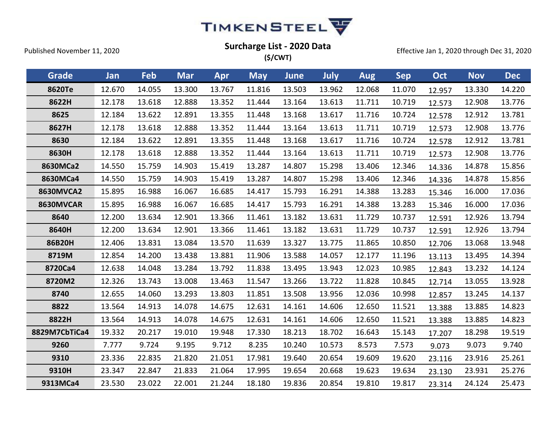

| <b>Grade</b>     | Jan    | Feb    | <b>Mar</b> | Apr    | <b>May</b> | <b>June</b> | <b>July</b> | Aug    | <b>Sep</b> | Oct    | <b>Nov</b> | <b>Dec</b> |
|------------------|--------|--------|------------|--------|------------|-------------|-------------|--------|------------|--------|------------|------------|
| 8620Te           | 12.670 | 14.055 | 13.300     | 13.767 | 11.816     | 13.503      | 13.962      | 12.068 | 11.070     | 12.957 | 13.330     | 14.220     |
| 8622H            | 12.178 | 13.618 | 12.888     | 13.352 | 11.444     | 13.164      | 13.613      | 11.711 | 10.719     | 12.573 | 12.908     | 13.776     |
| 8625             | 12.184 | 13.622 | 12.891     | 13.355 | 11.448     | 13.168      | 13.617      | 11.716 | 10.724     | 12.578 | 12.912     | 13.781     |
| 8627H            | 12.178 | 13.618 | 12.888     | 13.352 | 11.444     | 13.164      | 13.613      | 11.711 | 10.719     | 12.573 | 12.908     | 13.776     |
| 8630             | 12.184 | 13.622 | 12.891     | 13.355 | 11.448     | 13.168      | 13.617      | 11.716 | 10.724     | 12.578 | 12.912     | 13.781     |
| 8630H            | 12.178 | 13.618 | 12.888     | 13.352 | 11.444     | 13.164      | 13.613      | 11.711 | 10.719     | 12.573 | 12.908     | 13.776     |
| 8630MCa2         | 14.550 | 15.759 | 14.903     | 15.419 | 13.287     | 14.807      | 15.298      | 13.406 | 12.346     | 14.336 | 14.878     | 15.856     |
| 8630MCa4         | 14.550 | 15.759 | 14.903     | 15.419 | 13.287     | 14.807      | 15.298      | 13.406 | 12.346     | 14.336 | 14.878     | 15.856     |
| <b>8630MVCA2</b> | 15.895 | 16.988 | 16.067     | 16.685 | 14.417     | 15.793      | 16.291      | 14.388 | 13.283     | 15.346 | 16.000     | 17.036     |
| 8630MVCAR        | 15.895 | 16.988 | 16.067     | 16.685 | 14.417     | 15.793      | 16.291      | 14.388 | 13.283     | 15.346 | 16.000     | 17.036     |
| 8640             | 12.200 | 13.634 | 12.901     | 13.366 | 11.461     | 13.182      | 13.631      | 11.729 | 10.737     | 12.591 | 12.926     | 13.794     |
| 8640H            | 12.200 | 13.634 | 12.901     | 13.366 | 11.461     | 13.182      | 13.631      | 11.729 | 10.737     | 12.591 | 12.926     | 13.794     |
| 86B20H           | 12.406 | 13.831 | 13.084     | 13.570 | 11.639     | 13.327      | 13.775      | 11.865 | 10.850     | 12.706 | 13.068     | 13.948     |
| 8719M            | 12.854 | 14.200 | 13.438     | 13.881 | 11.906     | 13.588      | 14.057      | 12.177 | 11.196     | 13.113 | 13.495     | 14.394     |
| 8720Ca4          | 12.638 | 14.048 | 13.284     | 13.792 | 11.838     | 13.495      | 13.943      | 12.023 | 10.985     | 12.843 | 13.232     | 14.124     |
| 8720M2           | 12.326 | 13.743 | 13.008     | 13.463 | 11.547     | 13.266      | 13.722      | 11.828 | 10.845     | 12.714 | 13.055     | 13.928     |
| 8740             | 12.655 | 14.060 | 13.293     | 13.803 | 11.851     | 13.508      | 13.956      | 12.036 | 10.998     | 12.857 | 13.245     | 14.137     |
| 8822             | 13.564 | 14.913 | 14.078     | 14.675 | 12.631     | 14.161      | 14.606      | 12.650 | 11.521     | 13.388 | 13.885     | 14.823     |
| 8822H            | 13.564 | 14.913 | 14.078     | 14.675 | 12.631     | 14.161      | 14.606      | 12.650 | 11.521     | 13.388 | 13.885     | 14.823     |
| 8829M7CbTiCa4    | 19.332 | 20.217 | 19.010     | 19.948 | 17.330     | 18.213      | 18.702      | 16.643 | 15.143     | 17.207 | 18.298     | 19.519     |
| 9260             | 7.777  | 9.724  | 9.195      | 9.712  | 8.235      | 10.240      | 10.573      | 8.573  | 7.573      | 9.073  | 9.073      | 9.740      |
| 9310             | 23.336 | 22.835 | 21.820     | 21.051 | 17.981     | 19.640      | 20.654      | 19.609 | 19.620     | 23.116 | 23.916     | 25.261     |
| 9310H            | 23.347 | 22.847 | 21.833     | 21.064 | 17.995     | 19.654      | 20.668      | 19.623 | 19.634     | 23.130 | 23.931     | 25.276     |
| 9313MCa4         | 23.530 | 23.022 | 22.001     | 21.244 | 18.180     | 19.836      | 20.854      | 19.810 | 19.817     | 23.314 | 24.124     | 25.473     |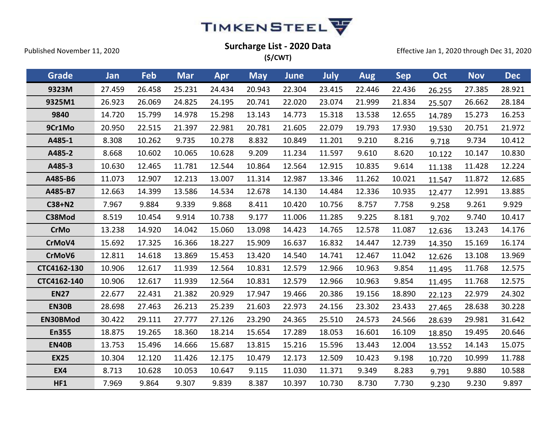

**(\$/CWT)**

Effective Jan 1, 2020 through Dec 31, 2020

**Grade Jan Feb Mar Apr May June July Aug Sep Oct Nov Dec 9323M** 27.459 26.458 25.231 24.434 20.943 22.304 23.415 22.446 22.436 26.255 27.385 28.921 **9325M1** 26.923 26.069 24.825 24.195 20.741 22.020 23.074 21.999 21.834 25.507 26.662 28.184 **9840** 14.720 15.799 14.978 15.298 13.143 14.773 15.318 13.538 12.655 14.789 15.273 16.253 **9Cr1Mo** 20.950 22.515 21.397 22.981 20.781 21.605 22.079 19.793 17.930 19.530 20.751 21.972 **A485-1** 8.308 10.262 9.735 10.278 8.832 10.849 11.201 9.210 8.216 9.718 9.734 10.412 **A485-2** 8.668 10.602 10.065 10.628 9.209 11.234 11.597 9.610 8.620 10.122 10.147 10.830 **A485-3** 10.630 12.465 11.781 12.544 10.864 12.564 12.915 10.835 9.614 11.138 11.428 12.224 **A485-B6** 11.073 12.907 12.213 13.007 11.314 12.987 13.346 11.262 10.021 11.547 11.872 12.685 **A485-B7** 12.663 14.399 13.586 14.534 12.678 14.130 14.484 12.336 10.935 12.477 12.991 13.885 **C38+N2** 7.967 9.884 9.339 9.868 8.411 10.420 10.756 8.757 7.758 9.258 9.261 9.929 **C38Mod** 8.519 10.454 9.914 10.738 9.177 11.006 11.285 9.225 8.181 9.702 9.740 10.417 **CrMo** 13.238 14.920 14.042 15.060 13.098 14.423 14.765 12.578 11.087 12.636 13.243 14.176 **CrMoV4** 15.692 17.325 16.366 18.227 15.909 16.637 16.832 14.447 12.739 14.350 15.169 16.174 **CrMoV6** 12.811 14.618 13.869 15.453 13.420 14.540 14.741 12.467 11.042 12.626 13.108 13.969 **CTC4162-130** 10.906 12.617 11.939 12.564 10.831 12.579 12.966 10.963 9.854 11.495 11.768 12.575 **CTC4162-140** 10.906 12.617 11.939 12.564 10.831 12.579 12.966 10.963 9.854 11.495 11.768 12.575 **EN27** 22.677 22.431 21.382 20.929 17.947 19.466 20.386 19.156 18.890 22.123 22.979 24.302 **EN30B** 28.698 27.463 26.213 25.239 21.603 22.973 24.156 23.302 23.433 27.465 28.638 30.228 **EN30BMod** 30.422 29.111 27.777 27.126 23.290 24.365 25.510 24.573 24.566 28.639 29.981 31.642 **En355** 18.875 19.265 18.360 18.214 15.654 17.289 18.053 16.601 16.109 18.850 19.495 20.646 **EN40B** 13.753 15.496 14.666 15.687 13.815 15.216 15.596 13.443 12.004 13.552 14.143 15.075 **EX25** 10.304 12.120 11.426 12.175 10.479 12.173 12.509 10.423 9.198 10.720 10.999 11.788 **EX4** 8.713 10.628 10.053 10.647 9.115 11.030 11.371 9.349 8.283 9.791 9.880 10.588 **HF1** 7.969 9.864 9.307 9.839 8.387 10.397 10.730 8.730 7.730 9.230 9.230 9.897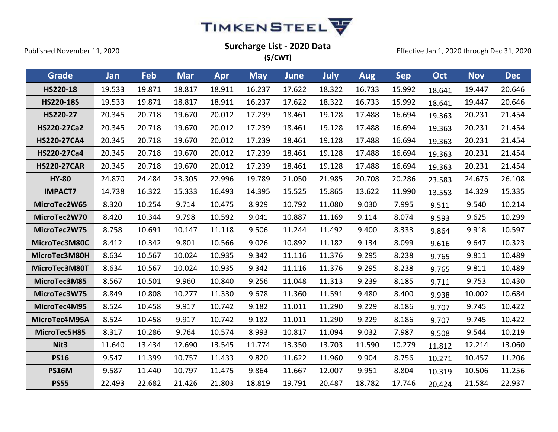

| (\$/CWT) |
|----------|
|----------|

| Grade              | Jan    | Feb    | <b>Mar</b> | Apr    | <b>May</b> | June   | July   | <b>Aug</b> | <b>Sep</b> | Oct    | <b>Nov</b> | <b>Dec</b> |
|--------------------|--------|--------|------------|--------|------------|--------|--------|------------|------------|--------|------------|------------|
| HS220-18           | 19.533 | 19.871 | 18.817     | 18.911 | 16.237     | 17.622 | 18.322 | 16.733     | 15.992     | 18.641 | 19.447     | 20.646     |
| <b>HS220-18S</b>   | 19.533 | 19.871 | 18.817     | 18.911 | 16.237     | 17.622 | 18.322 | 16.733     | 15.992     | 18.641 | 19.447     | 20.646     |
| HS220-27           | 20.345 | 20.718 | 19.670     | 20.012 | 17.239     | 18.461 | 19.128 | 17.488     | 16.694     | 19.363 | 20.231     | 21.454     |
| HS220-27Ca2        | 20.345 | 20.718 | 19.670     | 20.012 | 17.239     | 18.461 | 19.128 | 17.488     | 16.694     | 19.363 | 20.231     | 21.454     |
| <b>HS220-27CA4</b> | 20.345 | 20.718 | 19.670     | 20.012 | 17.239     | 18.461 | 19.128 | 17.488     | 16.694     | 19.363 | 20.231     | 21.454     |
| HS220-27Ca4        | 20.345 | 20.718 | 19.670     | 20.012 | 17.239     | 18.461 | 19.128 | 17.488     | 16.694     | 19.363 | 20.231     | 21.454     |
| <b>HS220-27CAR</b> | 20.345 | 20.718 | 19.670     | 20.012 | 17.239     | 18.461 | 19.128 | 17.488     | 16.694     | 19.363 | 20.231     | 21.454     |
| <b>HY-80</b>       | 24.870 | 24.484 | 23.305     | 22.996 | 19.789     | 21.050 | 21.985 | 20.708     | 20.286     | 23.583 | 24.675     | 26.108     |
| <b>IMPACT7</b>     | 14.738 | 16.322 | 15.333     | 16.493 | 14.395     | 15.525 | 15.865 | 13.622     | 11.990     | 13.553 | 14.329     | 15.335     |
| MicroTec2W65       | 8.320  | 10.254 | 9.714      | 10.475 | 8.929      | 10.792 | 11.080 | 9.030      | 7.995      | 9.511  | 9.540      | 10.214     |
| MicroTec2W70       | 8.420  | 10.344 | 9.798      | 10.592 | 9.041      | 10.887 | 11.169 | 9.114      | 8.074      | 9.593  | 9.625      | 10.299     |
| MicroTec2W75       | 8.758  | 10.691 | 10.147     | 11.118 | 9.506      | 11.244 | 11.492 | 9.400      | 8.333      | 9.864  | 9.918      | 10.597     |
| MicroTec3M80C      | 8.412  | 10.342 | 9.801      | 10.566 | 9.026      | 10.892 | 11.182 | 9.134      | 8.099      | 9.616  | 9.647      | 10.323     |
| MicroTec3M80H      | 8.634  | 10.567 | 10.024     | 10.935 | 9.342      | 11.116 | 11.376 | 9.295      | 8.238      | 9.765  | 9.811      | 10.489     |
| MicroTec3M80T      | 8.634  | 10.567 | 10.024     | 10.935 | 9.342      | 11.116 | 11.376 | 9.295      | 8.238      | 9.765  | 9.811      | 10.489     |
| MicroTec3M85       | 8.567  | 10.501 | 9.960      | 10.840 | 9.256      | 11.048 | 11.313 | 9.239      | 8.185      | 9.711  | 9.753      | 10.430     |
| MicroTec3W75       | 8.849  | 10.808 | 10.277     | 11.330 | 9.678      | 11.360 | 11.591 | 9.480      | 8.400      | 9.938  | 10.002     | 10.684     |
| MicroTec4M95       | 8.524  | 10.458 | 9.917      | 10.742 | 9.182      | 11.011 | 11.290 | 9.229      | 8.186      | 9.707  | 9.745      | 10.422     |
| MicroTec4M95A      | 8.524  | 10.458 | 9.917      | 10.742 | 9.182      | 11.011 | 11.290 | 9.229      | 8.186      | 9.707  | 9.745      | 10.422     |
| MicroTec5H85       | 8.317  | 10.286 | 9.764      | 10.574 | 8.993      | 10.817 | 11.094 | 9.032      | 7.987      | 9.508  | 9.544      | 10.219     |
| Nit <sub>3</sub>   | 11.640 | 13.434 | 12.690     | 13.545 | 11.774     | 13.350 | 13.703 | 11.590     | 10.279     | 11.812 | 12.214     | 13.060     |
| <b>PS16</b>        | 9.547  | 11.399 | 10.757     | 11.433 | 9.820      | 11.622 | 11.960 | 9.904      | 8.756      | 10.271 | 10.457     | 11.206     |
| <b>PS16M</b>       | 9.587  | 11.440 | 10.797     | 11.475 | 9.864      | 11.667 | 12.007 | 9.951      | 8.804      | 10.319 | 10.506     | 11.256     |
| <b>PS55</b>        | 22.493 | 22.682 | 21.426     | 21.803 | 18.819     | 19.791 | 20.487 | 18.782     | 17.746     | 20.424 | 21.584     | 22.937     |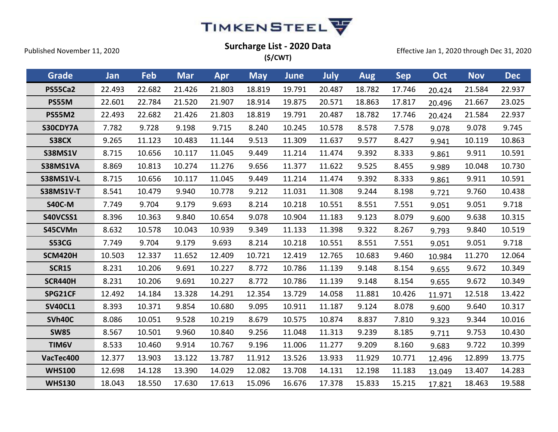

Effective Jan 1, 2020 through Dec 31, 2020

| Grade            | Jan    | Feb    | <b>Mar</b> | Apr    | <b>May</b> | <b>June</b> | July   | <b>Aug</b> | <b>Sep</b> | Oct    | <b>Nov</b> | <b>Dec</b> |
|------------------|--------|--------|------------|--------|------------|-------------|--------|------------|------------|--------|------------|------------|
| <b>PS55Ca2</b>   | 22.493 | 22.682 | 21.426     | 21.803 | 18.819     | 19.791      | 20.487 | 18.782     | 17.746     | 20.424 | 21.584     | 22.937     |
| <b>PS55M</b>     | 22.601 | 22.784 | 21.520     | 21.907 | 18.914     | 19.875      | 20.571 | 18.863     | 17.817     | 20.496 | 21.667     | 23.025     |
| <b>PS55M2</b>    | 22.493 | 22.682 | 21.426     | 21.803 | 18.819     | 19.791      | 20.487 | 18.782     | 17.746     | 20.424 | 21.584     | 22.937     |
| S30CDY7A         | 7.782  | 9.728  | 9.198      | 9.715  | 8.240      | 10.245      | 10.578 | 8.578      | 7.578      | 9.078  | 9.078      | 9.745      |
| <b>S38CX</b>     | 9.265  | 11.123 | 10.483     | 11.144 | 9.513      | 11.309      | 11.637 | 9.577      | 8.427      | 9.941  | 10.119     | 10.863     |
| <b>S38MS1V</b>   | 8.715  | 10.656 | 10.117     | 11.045 | 9.449      | 11.214      | 11.474 | 9.392      | 8.333      | 9.861  | 9.911      | 10.591     |
| S38MS1VA         | 8.869  | 10.813 | 10.274     | 11.276 | 9.656      | 11.377      | 11.622 | 9.525      | 8.455      | 9.989  | 10.048     | 10.730     |
| <b>S38MS1V-L</b> | 8.715  | 10.656 | 10.117     | 11.045 | 9.449      | 11.214      | 11.474 | 9.392      | 8.333      | 9.861  | 9.911      | 10.591     |
| <b>S38MS1V-T</b> | 8.541  | 10.479 | 9.940      | 10.778 | 9.212      | 11.031      | 11.308 | 9.244      | 8.198      | 9.721  | 9.760      | 10.438     |
| <b>S40C-M</b>    | 7.749  | 9.704  | 9.179      | 9.693  | 8.214      | 10.218      | 10.551 | 8.551      | 7.551      | 9.051  | 9.051      | 9.718      |
| S40VCSS1         | 8.396  | 10.363 | 9.840      | 10.654 | 9.078      | 10.904      | 11.183 | 9.123      | 8.079      | 9.600  | 9.638      | 10.315     |
| S45CVMn          | 8.632  | 10.578 | 10.043     | 10.939 | 9.349      | 11.133      | 11.398 | 9.322      | 8.267      | 9.793  | 9.840      | 10.519     |
| <b>S53CG</b>     | 7.749  | 9.704  | 9.179      | 9.693  | 8.214      | 10.218      | 10.551 | 8.551      | 7.551      | 9.051  | 9.051      | 9.718      |
| <b>SCM420H</b>   | 10.503 | 12.337 | 11.652     | 12.409 | 10.721     | 12.419      | 12.765 | 10.683     | 9.460      | 10.984 | 11.270     | 12.064     |
| <b>SCR15</b>     | 8.231  | 10.206 | 9.691      | 10.227 | 8.772      | 10.786      | 11.139 | 9.148      | 8.154      | 9.655  | 9.672      | 10.349     |
| <b>SCR440H</b>   | 8.231  | 10.206 | 9.691      | 10.227 | 8.772      | 10.786      | 11.139 | 9.148      | 8.154      | 9.655  | 9.672      | 10.349     |
| SPG21CF          | 12.492 | 14.184 | 13.328     | 14.291 | 12.354     | 13.729      | 14.058 | 11.881     | 10.426     | 11.971 | 12.518     | 13.422     |
| <b>SV40CL1</b>   | 8.393  | 10.371 | 9.854      | 10.680 | 9.095      | 10.911      | 11.187 | 9.124      | 8.078      | 9.600  | 9.640      | 10.317     |
| SVh40C           | 8.086  | 10.051 | 9.528      | 10.219 | 8.679      | 10.575      | 10.874 | 8.837      | 7.810      | 9.323  | 9.344      | 10.016     |
| <b>SW85</b>      | 8.567  | 10.501 | 9.960      | 10.840 | 9.256      | 11.048      | 11.313 | 9.239      | 8.185      | 9.711  | 9.753      | 10.430     |
| TIM6V            | 8.533  | 10.460 | 9.914      | 10.767 | 9.196      | 11.006      | 11.277 | 9.209      | 8.160      | 9.683  | 9.722      | 10.399     |
|                  |        |        |            |        |            |             |        |            |            |        |            |            |

**VacTec400** 12.377 13.903 13.122 13.787 11.912 13.526 13.933 11.929 10.771 12.496 12.899 13.775 **WHS100** 12.698 14.128 13.390 14.029 12.082 13.708 14.131 12.198 11.183 13.049 13.407 14.283 **WHS130** 18.043 18.550 17.630 17.613 15.096 16.676 17.378 15.833 15.215 17.821 18.463 19.588